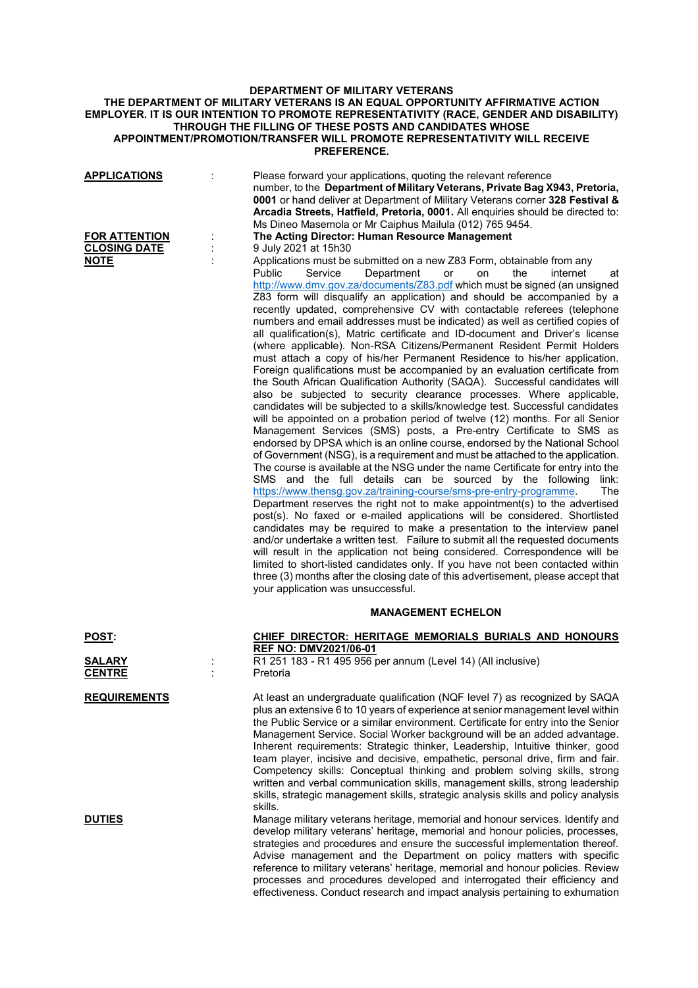## **DEPARTMENT OF MILITARY VETERANS THE DEPARTMENT OF MILITARY VETERANS IS AN EQUAL OPPORTUNITY AFFIRMATIVE ACTION EMPLOYER. IT IS OUR INTENTION TO PROMOTE REPRESENTATIVITY (RACE, GENDER AND DISABILITY) THROUGH THE FILLING OF THESE POSTS AND CANDIDATES WHOSE APPOINTMENT/PROMOTION/TRANSFER WILL PROMOTE REPRESENTATIVITY WILL RECEIVE PREFERENCE.**

| <u>APPLICATIONS</u><br><b>FOR ATTENTION</b> | Please forward your applications, quoting the relevant reference<br>number, to the Department of Military Veterans, Private Bag X943, Pretoria,<br>0001 or hand deliver at Department of Military Veterans corner 328 Festival &<br>Arcadia Streets, Hatfield, Pretoria, 0001. All enquiries should be directed to:<br>Ms Dineo Masemola or Mr Caiphus Mailula (012) 765 9454.<br>The Acting Director: Human Resource Management                                                                                                                                                                                                                                                                                                                                                                                                                                                                                                                                                                                                                                                                                                                                                                                                                                                                                                                                                                                                                                                                                                                                                                                                                                                                                                                                                                                                                                                                                                                                                                                                                                                                                                                                                                                     |                                |
|---------------------------------------------|----------------------------------------------------------------------------------------------------------------------------------------------------------------------------------------------------------------------------------------------------------------------------------------------------------------------------------------------------------------------------------------------------------------------------------------------------------------------------------------------------------------------------------------------------------------------------------------------------------------------------------------------------------------------------------------------------------------------------------------------------------------------------------------------------------------------------------------------------------------------------------------------------------------------------------------------------------------------------------------------------------------------------------------------------------------------------------------------------------------------------------------------------------------------------------------------------------------------------------------------------------------------------------------------------------------------------------------------------------------------------------------------------------------------------------------------------------------------------------------------------------------------------------------------------------------------------------------------------------------------------------------------------------------------------------------------------------------------------------------------------------------------------------------------------------------------------------------------------------------------------------------------------------------------------------------------------------------------------------------------------------------------------------------------------------------------------------------------------------------------------------------------------------------------------------------------------------------------|--------------------------------|
| <b>CLOSING DATE</b><br><u>NOTE</u>          | 9 July 2021 at 15h30<br>Applications must be submitted on a new Z83 Form, obtainable from any<br><b>Public</b><br>Service<br>Department<br>the<br>or<br>on<br>http://www.dmv.gov.za/documents/Z83.pdf which must be signed (an unsigned<br>Z83 form will disqualify an application) and should be accompanied by a<br>recently updated, comprehensive CV with contactable referees (telephone<br>numbers and email addresses must be indicated) as well as certified copies of<br>all qualification(s), Matric certificate and ID-document and Driver's license<br>(where applicable). Non-RSA Citizens/Permanent Resident Permit Holders<br>must attach a copy of his/her Permanent Residence to his/her application.<br>Foreign qualifications must be accompanied by an evaluation certificate from<br>the South African Qualification Authority (SAQA). Successful candidates will<br>also be subjected to security clearance processes. Where applicable,<br>candidates will be subjected to a skills/knowledge test. Successful candidates<br>will be appointed on a probation period of twelve (12) months. For all Senior<br>Management Services (SMS) posts, a Pre-entry Certificate to SMS as<br>endorsed by DPSA which is an online course, endorsed by the National School<br>of Government (NSG), is a requirement and must be attached to the application.<br>The course is available at the NSG under the name Certificate for entry into the<br>SMS and the full details can be sourced by the following<br>https://www.thensg.gov.za/training-course/sms-pre-entry-programme.<br>Department reserves the right not to make appointment(s) to the advertised<br>post(s). No faxed or e-mailed applications will be considered. Shortlisted<br>candidates may be required to make a presentation to the interview panel<br>and/or undertake a written test. Failure to submit all the requested documents<br>will result in the application not being considered. Correspondence will be<br>limited to short-listed candidates only. If you have not been contacted within<br>three (3) months after the closing date of this advertisement, please accept that<br>your application was unsuccessful. | internet<br>at<br>link:<br>The |
|                                             | <b>MANAGEMENT ECHELON</b>                                                                                                                                                                                                                                                                                                                                                                                                                                                                                                                                                                                                                                                                                                                                                                                                                                                                                                                                                                                                                                                                                                                                                                                                                                                                                                                                                                                                                                                                                                                                                                                                                                                                                                                                                                                                                                                                                                                                                                                                                                                                                                                                                                                            |                                |
| POST:<br>SALARY<br><b>CENTRE</b>            | CHIEF DIRECTOR: HERITAGE MEMORIALS BURIALS AND HONOURS<br><b>REF NO: DMV2021/06-01</b><br>R1 251 183 - R1 495 956 per annum (Level 14) (All inclusive)<br>Pretoria                                                                                                                                                                                                                                                                                                                                                                                                                                                                                                                                                                                                                                                                                                                                                                                                                                                                                                                                                                                                                                                                                                                                                                                                                                                                                                                                                                                                                                                                                                                                                                                                                                                                                                                                                                                                                                                                                                                                                                                                                                                   |                                |
| <b>REQUIREMENTS</b>                         | At least an undergraduate qualification (NQF level 7) as recognized by SAQA<br>plus an extensive 6 to 10 years of experience at senior management level within<br>the Public Service or a similar environment. Certificate for entry into the Senior<br>Management Service. Social Worker background will be an added advantage.<br>Inherent requirements: Strategic thinker, Leadership, Intuitive thinker, good<br>team player, incisive and decisive, empathetic, personal drive, firm and fair.<br>Competency skills: Conceptual thinking and problem solving skills, strong<br>written and verbal communication skills, management skills, strong leadership<br>skills, strategic management skills, strategic analysis skills and policy analysis<br>skills.                                                                                                                                                                                                                                                                                                                                                                                                                                                                                                                                                                                                                                                                                                                                                                                                                                                                                                                                                                                                                                                                                                                                                                                                                                                                                                                                                                                                                                                   |                                |
| <b>DUTIES</b>                               | Manage military veterans heritage, memorial and honour services. Identify and<br>develop military veterans' heritage, memorial and honour policies, processes,<br>strategies and procedures and ensure the successful implementation thereof.<br>Advise management and the Department on policy matters with specific<br>reference to military veterans' heritage, memorial and honour policies. Review<br>processes and procedures developed and interrogated their efficiency and                                                                                                                                                                                                                                                                                                                                                                                                                                                                                                                                                                                                                                                                                                                                                                                                                                                                                                                                                                                                                                                                                                                                                                                                                                                                                                                                                                                                                                                                                                                                                                                                                                                                                                                                  |                                |

effectiveness. Conduct research and impact analysis pertaining to exhumation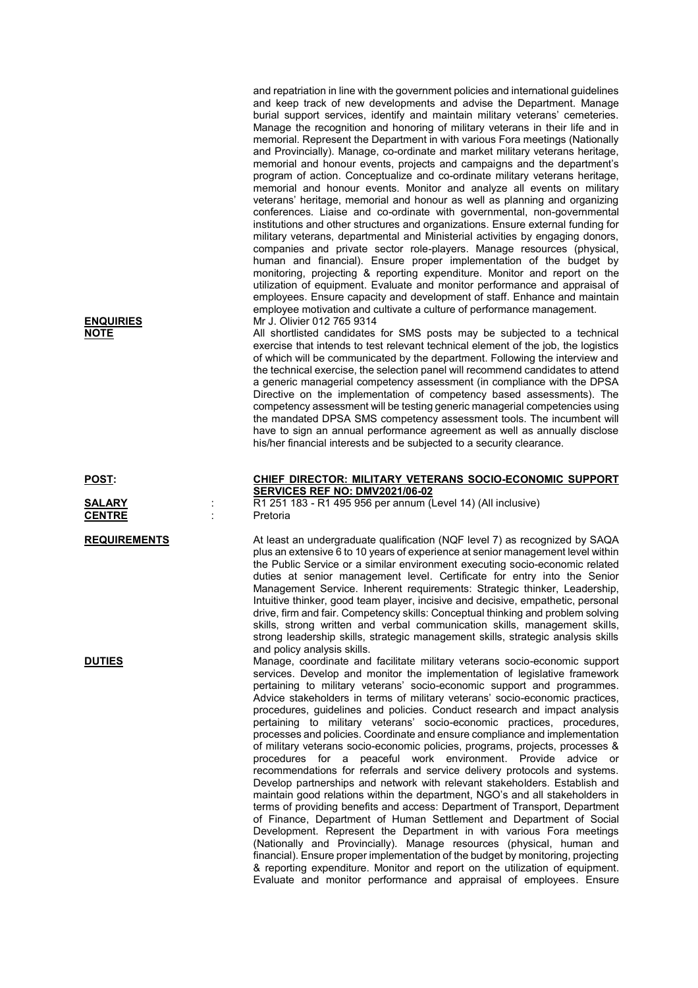and repatriation in line with the government policies and international guidelines and keep track of new developments and advise the Department. Manage burial support services, identify and maintain military veterans' cemeteries. Manage the recognition and honoring of military veterans in their life and in memorial. Represent the Department in with various Fora meetings (Nationally and Provincially). Manage, co-ordinate and market military veterans heritage, memorial and honour events, projects and campaigns and the department's program of action. Conceptualize and co-ordinate military veterans heritage, memorial and honour events. Monitor and analyze all events on military veterans' heritage, memorial and honour as well as planning and organizing conferences. Liaise and co-ordinate with governmental, non-governmental institutions and other structures and organizations. Ensure external funding for military veterans, departmental and Ministerial activities by engaging donors, companies and private sector role-players. Manage resources (physical, human and financial). Ensure proper implementation of the budget by monitoring, projecting & reporting expenditure. Monitor and report on the utilization of equipment. Evaluate and monitor performance and appraisal of employees. Ensure capacity and development of staff. Enhance and maintain employee motivation and cultivate a culture of performance management. **ENQUIRIES** Mr J. Olivier 012 765 9314

**NOTE** All shortlisted candidates for SMS posts may be subjected to a technical exercise that intends to test relevant technical element of the job, the logistics of which will be communicated by the department. Following the interview and the technical exercise, the selection panel will recommend candidates to attend a generic managerial competency assessment (in compliance with the DPSA Directive on the implementation of competency based assessments). The competency assessment will be testing generic managerial competencies using the mandated DPSA SMS competency assessment tools. The incumbent will have to sign an annual performance agreement as well as annually disclose his/her financial interests and be subjected to a security clearance.

## **POST: CHIEF DIRECTOR: MILITARY VETERANS SOCIO-ECONOMIC SUPPORT SERVICES REF NO: DMV2021/06-02**

**SALARY** : R1 251 183 - R1 495 956 per annum (Level 14) (All inclusive)

**REQUIREMENTS** At least an undergraduate qualification (NQF level 7) as recognized by SAQA plus an extensive 6 to 10 years of experience at senior management level within the Public Service or a similar environment executing socio-economic related duties at senior management level. Certificate for entry into the Senior Management Service. Inherent requirements: Strategic thinker, Leadership, Intuitive thinker, good team player, incisive and decisive, empathetic, personal drive, firm and fair. Competency skills: Conceptual thinking and problem solving skills, strong written and verbal communication skills, management skills, strong leadership skills, strategic management skills, strategic analysis skills and policy analysis skills.

**DUTIES** Manage, coordinate and facilitate military veterans socio-economic support services. Develop and monitor the implementation of legislative framework pertaining to military veterans' socio-economic support and programmes. Advice stakeholders in terms of military veterans' socio-economic practices, procedures, guidelines and policies. Conduct research and impact analysis pertaining to military veterans' socio-economic practices, procedures, processes and policies. Coordinate and ensure compliance and implementation of military veterans socio-economic policies, programs, projects, processes & procedures for a peaceful work environment. Provide advice or recommendations for referrals and service delivery protocols and systems. Develop partnerships and network with relevant stakeholders. Establish and maintain good relations within the department, NGO's and all stakeholders in terms of providing benefits and access: Department of Transport, Department of Finance, Department of Human Settlement and Department of Social Development. Represent the Department in with various Fora meetings (Nationally and Provincially). Manage resources (physical, human and financial). Ensure proper implementation of the budget by monitoring, projecting & reporting expenditure. Monitor and report on the utilization of equipment. Evaluate and monitor performance and appraisal of employees. Ensure

**CENTRE** : Pretoria